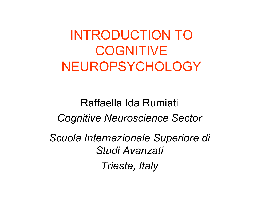INTRODUCTION TO **COGNITIVE** NEUROPSYCHOLOGY

Raffaella Ida RumiatiCognitive Neuroscience Sector

Scuola Internazionale Superiore di Studi Avanzati Trieste, Italy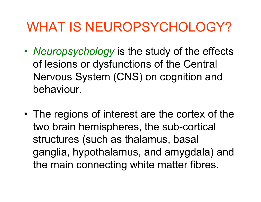### WHAT IS NEUROPSYCHOLOGY?

- Neuropsychology is the study of the effects of lesions or dysfunctions of the Central Nervous System (CNS) on cognition and behaviour.
- •The regions of interest are the cortex of the two brain hemispheres, the sub-cortical structures (such as thalamus, basal ganglia, hypothalamus, and amygdala) and the main connecting white matter fibres.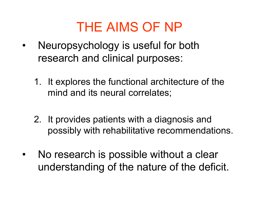### THE AIMS OF NP

- • Neuropsychology is useful for both research and clinical purposes:
	- 1. It explores the functional architecture of the mind and its neural correlates;
	- 2. It provides patients with a diagnosis and possibly with rehabilitative recommendations.
- • No research is possible without a clear understanding of the nature of the deficit.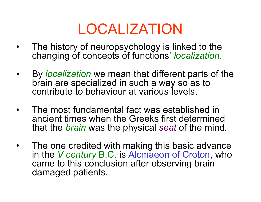# LOCALIZATION

- The history of neuropsychology is linked to the<br>changing of concents of functions' localization •changing of concepts of functions' *localization.*
- •By *localization* we mean that different parts of the brain are specialized in such a way so as to contribute to behaviour at various levels.
- • The most fundamental fact was established in ancient times when the Greeks first determined that the *brain* was the physical *seat* of the mind.
- • The one credited with making this basic advance in the *V century* B.C. is Alcmaeon of Croton, who<br>came to this conclusion after observing brain came to this conclusion after observing brain damaged patients.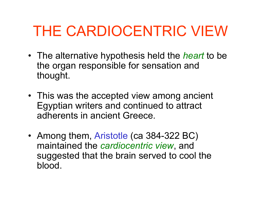# THE CARDIOCENTRIC VIEW

- The alternative hypothesis held the *heart* to be<br>the ergan responsible for sepsation and the organ responsible for sensation and thought.
- This was the accepted view among ancient<br>Equation writers and continued to attract Egyptian writers and continued to attract adherents in ancient Greece.
- Among them, Aristotle (ca 384-322 BC)<br>maintained the cardiocentric view, and maintained the cardiocentric view, and suggested that the brain served to cool the blood.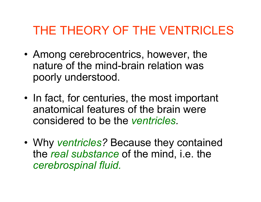#### THE THEORY OF THE VENTRICLES

- Among cerebrocentrics, however, the<br>nature of the mind brain relation west nature of the mind-brain relation was poorly understood.
- •In fact, for centuries, the most important<br>anotomical footures of the brain were anatomical features of the brain were considered to be the ventricles.
- Why ventricles? Because they contained<br>the real substance of the mind i.e. the the *real substance* of the mind, i.e. the cerebrospinal fluid.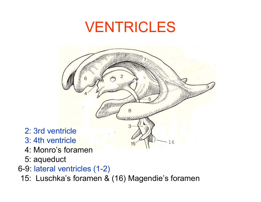## VENTRICLES



- 2: 3rd ventricle
- 3: 4th ventricle
- 4: Monro's foramen
- 5: aqueduct
- 6-9: lateral ventricles (1-2)
	- 15: Luschka's foramen & (16) Magendie's foramen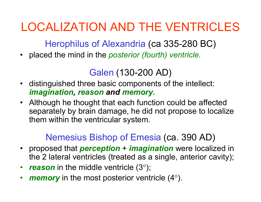#### LOCALIZATION AND THE VENTRICLES

Herophilus of Alexandria (ca 335-280 BC)

•placed the mind in the posterior (fourth) ventricle.

Galen (130-200 AD)

- • distinguished three basic components of the intellect: imagination, reason and memory.
- Although he thought that each function could be affected<br>conarately by brain damage, he did not prepese to localize separately by brain damage, he did not propose to localize them within the ventricular system.

#### Nemesius Bishop of Emesia (ca. 390 AD)

- proposed that *perception* + *imagination* were localized in<br>the 2 lateral ventricles (treated as a single, anterior cavity); the 2 lateral ventricles (treated as a single, anterior cavity);
- •• *reason* in the middle ventricle  $(3^{\circ})$ ;
- •• **memory** in the most posterior ventricle  $(4^{\circ})$ .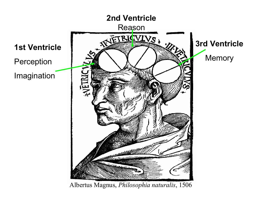

Albertus Magnus, Philosophia naturalis, <sup>1506</sup>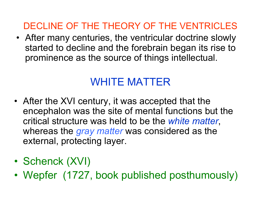#### DECLINE OF THE THEORY OF THE VENTRICLES

• After many centuries, the ventricular doctrine slowly<br>etarted to decline and the ferebrain began its rise to started to decline and the forebrain began its rise to prominence as the source of things intellectual.

#### WHITE MATTER

- After the XVI century, it was accepted that the ancorrelation was the site of mental functions by encephalon was the site of mental functions but thecritical structure was held to be the white matter, whereas the *gray matter* was considered as the external, protecting layer.
- •Schenck (XVI)
- •Wepfer (1727, book published posthumously)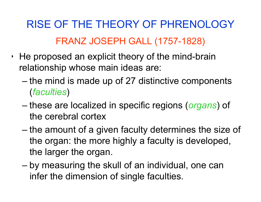RISE OF THE THEORY OF PHRENOLOGYFRANZ JOSEPH GALL (1757-1828)

- He proposed an explicit theory of the mind-brain relationship whose main ideas are:
	- the mind is made up of 27 distinctive components (faculties)
	- these are localized in specific regions (*organs*) of the cerebral cortex
	- the amount of a given faculty determines the size of the organ: the more highly a faculty is developed, the larger the organ.
	- by measuring the skull of an individual, one can<br>infor the dimension of cincle foculties infer the dimension of single faculties.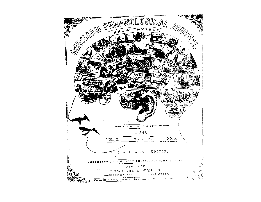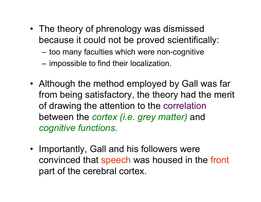- The theory of phrenology was dismissed<br>he seemed it could not be proved esignified because it could not be proved scientifically:
	- too many faculties which were non-cognitive
	- impossible to find their localization.
- Although the method employed by Gall was far<br>from heing estiafactory, the theamy had the merid from being satisfactory, the theory had the merit of drawing the attention to the correlationbetween the *cortex (i.e. grey matter)* and cognitive functions.
- Importantly, Gall and his followers were convinced that speech was housed in the front part of the cerebral cortex.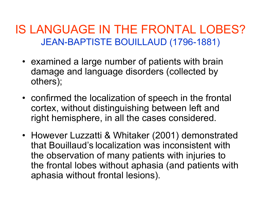#### IS LANGUAGE IN THE FRONTAL LOBES?JEAN-BAPTISTE BOUILLAUD (1796-1881)

- examined a large number of patients with brain<br>damage and language disorders (collected by damage and language disorders (collected by others);
- confirmed the localization of speech in the frontal<br>eartex without distinguishing between left and cortex, without distinguishing between left and right hemisphere, in all the cases considered.
- However Luzzatti & Whitaker (2001) demonstrated that Bouillaud's localization was inconsistent with the observation of many patients with injuries to the frontal lobes without aphasia (and patients with aphasia without frontal lesions).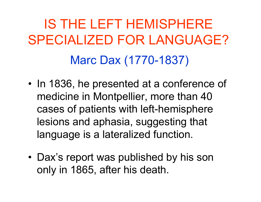IS THE LEFT HEMISPHERE SPECIALIZED FOR LANGUAGE?Marc Dax (1770-1837)

- •In 1836, he presented at a conference of medicine in Montpellier, more than 40 cases of patients with left-hemisphere lesions and aphasia, suggesting that language is a lateralized function.
- Dax's report was published by his son only in 1865, after his death.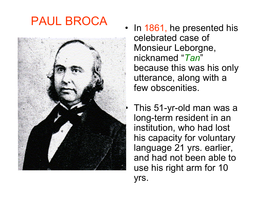### PAUL BROCA



• In 1861, he presented his<br>colobrated case of celebrated case of Monsieur Leborgne, nicknamed "Tan" because this was his only utterance, along with a few obscenities.

 This 51-yr-old man was a long-term resident in an institution, who had lost his capacity for voluntary language 21 yrs. earlier, and had not been able to use his right arm for 10 yrs.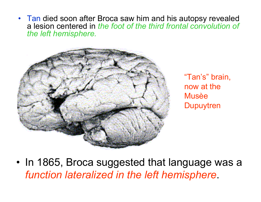

"Tan's" brain, now at the MusèeDupuytren

• In 1865, Broca suggested that language was a function lateralized in the left hemisphere.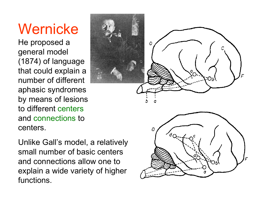# **Wernicke**

He proposed a general model (1874) of language that could explain a number of different aphasic syndromes by means of lesions to different centers and connections to centers.

Unlike Gall's model, a relatively small number of basic centers and connections allow one to explain a wide variety of higher functions.



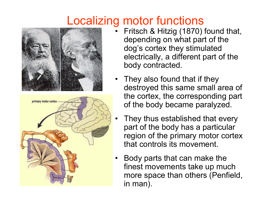#### Localizing motor functions





- Fritsch & Hitzig (1870) found that,<br>dopending on what part of the •depending on what part of the dog's cortex they stimulated electrically, a different part of the body contracted.
- • They also found that if they destroyed this same small area of the cortex, the corresponding part of the body became paralyzed.
- • They thus established that every part of the body has a particular region of the primary motor cortex that controls its movement.
- Body parts that can make the<br>finest movements take up mu finest movements take up much more space than others (Penfield, in man).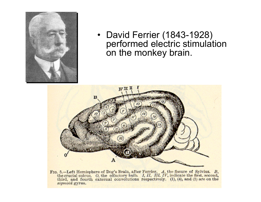

• David Ferrier (1843-1928) performed electric stimulation on the monkey brain.



Fra. 5,—Left Hemisphere of Dog's Brain, after Ferrier. A, the fissure of Sylvius. B, the crucial suleus. O, the olfsetory bolb.  $I, H, HI, IV$ , indicate the first, second, third, and fourth external convolutions respectively. sigmoni gyrus.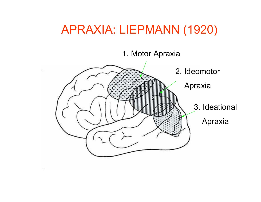#### APRAXIA: LIEPMANN (1920)

1. Motor Apraxia

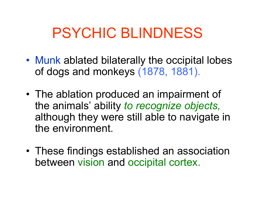# PSYCHIC BLINDNESS

- Munk ablated bilaterally the occipital lobes<br>
of dogs and monkeys (1878–1881) of dogs and monkeys (1878, 1881).
- •The ablation produced an impairment of<br>the animals' ability to recognize objects the animals' ability to recognize objects, although they were still able to navigate in the environment.
- •These findings established an association<br>between vision and assinital certex between vision and occipital cortex.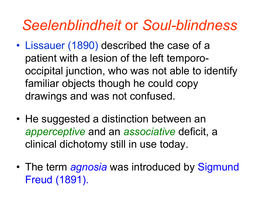# Seelenblindheit or Soul-blindness

- •Lissauer (1890) described the case of a patient with a lesion of the left temporooccipital junction, who was not able to identify familiar objects though he could copy drawings and was not confused.
- He suggested a distinction between an apperceptive and an associative deficit, a<br>aliginal diabetares settle in use to desc clinical dichotomy still in use today.
- •The term *agnosia* was introduced by Sigmund Freud (1891).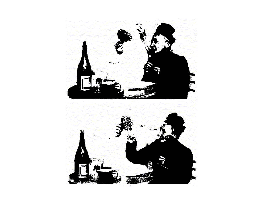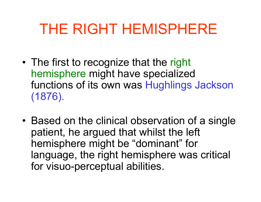# THE RIGHT HEMISPHERE

- •The first to recognize that the right<br>bemisphere might have specialized hemisphere might have specialized functions of its own was Hughlings Jackson (1876).
- •Based on the clinical observation of a single<br>pationt, he argued that whilet the left patient, he argued that whilst the left hemisphere might be "dominant" for language, the right hemisphere was critical for visuo-perceptual abilities.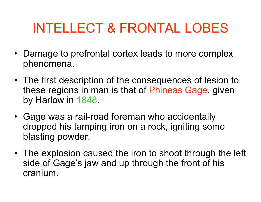## INTELLECT & FRONTAL LOBES

- Damage to prefrontal cortex leads to more complex phenomena.
- The first description of the consequences of lesion to<br>these regions in man is that of Phineas Gage, given these regions in man is that of Phineas Gage, given by Harlow in 1848.
- Gage was a rail-road foreman who accidentally<br>dropped bis tamping iron on a rock, igniting som dropped his tamping iron on a rock, igniting some blasting powder.
- The explosion caused the iron to shoot through the left side of Gago's jaw and up through the front of his side of Gage's jaw and up through the front of his cranium.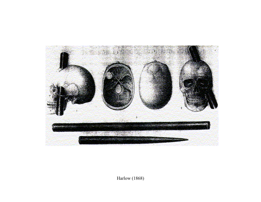

Harlow (1868)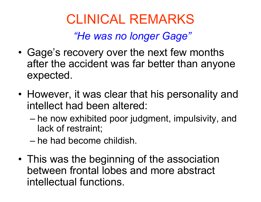### CLINICAL REMARKS"He was no longer Gage"

- •Gage's recovery over the next few months after the accident was far better than anyone expected.
- However, it was clear that his personality and<br>intollect had been altered: intellect had been altered:
	- he now exhibited poor judgment, impulsivity, and<br>lack of restraint: lack of restraint;
	- he had become childish.
- •This was the beginning of the association<br>between frontal labos and more abetract between frontal lobes and more abstract intellectual functions.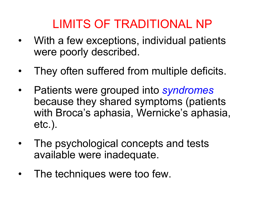### LIMITS OF TRADITIONAL NP

- $\bullet$  With a few exceptions, individual patients were poorly described.
- •They often suffered from multiple deficits.
- •Patients were grouped into *syndromes* because they shared symptoms (patients with Broca's aphasia, Wernicke's aphasia,<br>ote \ etc.).
- • The psychological concepts and tests available were inadequate.
- •The techniques were too few.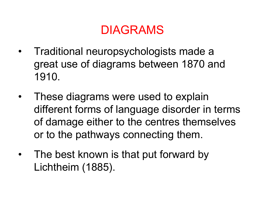#### DIAGRAMS

- Traditional neuropsychologists made a great use of diagrams between 1870 and 1910.
- $\bullet$  These diagrams were used to explain different forms of language disorder in terms of damage either to the centres themselves or to the pathways connecting them.
- $\bullet$  The best known is that put forward by Lichtheim (1885).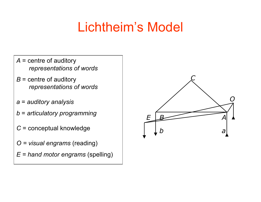### Lichtheim's Model

- $A =$  centre of auditory representations of words
- $B =$  centre of auditory representations of words
- a = auditory analysis
- b = articulatory programming
- C = conceptual knowledge
- O = visual engrams (reading)
- $\bm{\mathsf{E}}$  = hand motor engrams (spelling)

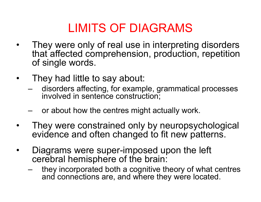### LIMITS OF DIAGRAMS

- • They were only of real use in interpreting disorders that affected comprehension, production, repetitionof single words.
- They had little to say about:<br>disorders effecting for examp
	- disorders affecting, for example, grammatical processes involved in sentence construction;
	- or about how the centres might actually work.
- • They were constrained only by neuropsychological evidence and often changed to fit new patterns.
- • Diagrams were super-imposed upon the left cerebral hemisphere of the brain:
	- they incorporated both a cognitive theory of what centres and connections are, and where they were located.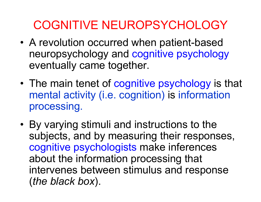### COGNITIVE NEUROPSYCHOLOGY

- A revolution occurred when patient-based<br>nouronsychology and cognitive psychology neuropsychology and cognitive psychology eventually came together.
- •The main tenet of cognitive psychology is that<br>montal activity (i.e. cognition) is information mental activity (i.e. cognition) is information processing.
- By varying stimuli and instructions to the<br>cubiocts, and by monsuring their respons subjects, and by measuring their responses, cognitive psychologists make inferences about the information processing that intervenes between stimulus and response (the black box).